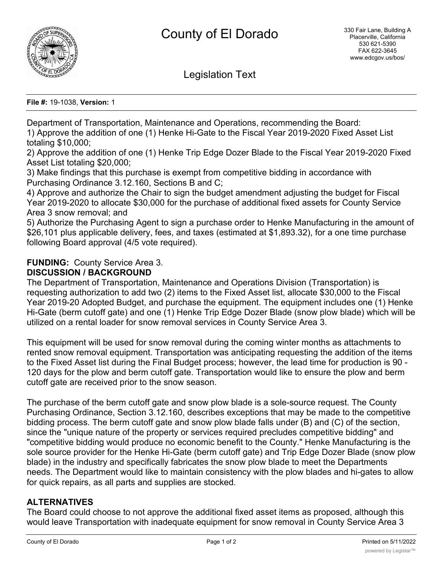

Legislation Text

**File #:** 19-1038, **Version:** 1

Department of Transportation, Maintenance and Operations, recommending the Board: 1) Approve the addition of one (1) Henke Hi-Gate to the Fiscal Year 2019-2020 Fixed Asset List totaling \$10,000;

2) Approve the addition of one (1) Henke Trip Edge Dozer Blade to the Fiscal Year 2019-2020 Fixed Asset List totaling \$20,000;

3) Make findings that this purchase is exempt from competitive bidding in accordance with Purchasing Ordinance 3.12.160, Sections B and C;

4) Approve and authorize the Chair to sign the budget amendment adjusting the budget for Fiscal Year 2019-2020 to allocate \$30,000 for the purchase of additional fixed assets for County Service Area 3 snow removal; and

5) Authorize the Purchasing Agent to sign a purchase order to Henke Manufacturing in the amount of \$26,101 plus applicable delivery, fees, and taxes (estimated at \$1,893.32), for a one time purchase following Board approval (4/5 vote required).

# **FUNDING:** County Service Area 3.

### **DISCUSSION / BACKGROUND**

The Department of Transportation, Maintenance and Operations Division (Transportation) is requesting authorization to add two (2) items to the Fixed Asset list, allocate \$30,000 to the Fiscal Year 2019-20 Adopted Budget, and purchase the equipment. The equipment includes one (1) Henke Hi-Gate (berm cutoff gate) and one (1) Henke Trip Edge Dozer Blade (snow plow blade) which will be utilized on a rental loader for snow removal services in County Service Area 3.

This equipment will be used for snow removal during the coming winter months as attachments to rented snow removal equipment. Transportation was anticipating requesting the addition of the items to the Fixed Asset list during the Final Budget process; however, the lead time for production is 90 - 120 days for the plow and berm cutoff gate. Transportation would like to ensure the plow and berm cutoff gate are received prior to the snow season.

The purchase of the berm cutoff gate and snow plow blade is a sole-source request. The County Purchasing Ordinance, Section 3.12.160, describes exceptions that may be made to the competitive bidding process. The berm cutoff gate and snow plow blade falls under (B) and (C) of the section, since the "unique nature of the property or services required precludes competitive bidding" and "competitive bidding would produce no economic benefit to the County." Henke Manufacturing is the sole source provider for the Henke Hi-Gate (berm cutoff gate) and Trip Edge Dozer Blade (snow plow blade) in the industry and specifically fabricates the snow plow blade to meet the Departments needs. The Department would like to maintain consistency with the plow blades and hi-gates to allow for quick repairs, as all parts and supplies are stocked.

# **ALTERNATIVES**

The Board could choose to not approve the additional fixed asset items as proposed, although this would leave Transportation with inadequate equipment for snow removal in County Service Area 3